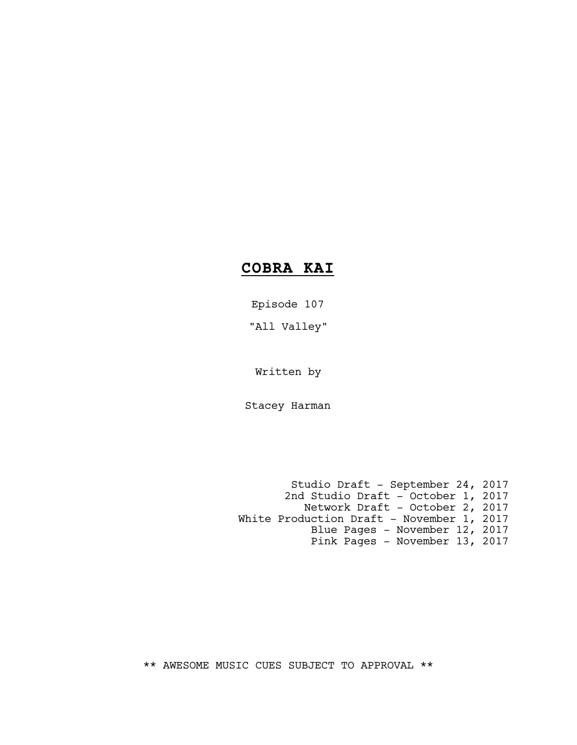# **COBRA KAI**

Episode 107

"All Valley"

Written by

Stacey Harman

Studio Draft - September 24, 2017 2nd Studio Draft - October 1, 2017 Network Draft - October 2, 2017 White Production Draft - November 1, 2017 Blue Pages - November 12, 2017 Pink Pages - November 13, 2017

\*\* AWESOME MUSIC CUES SUBJECT TO APPROVAL \*\*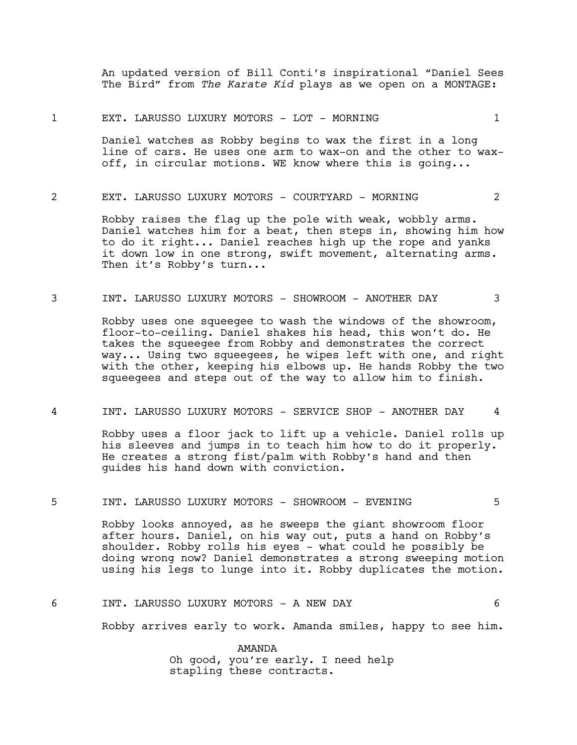An updated version of Bill Conti's inspirational "Daniel Sees The Bird" from *The Karate Kid* plays as we open on a MONTAGE:

#### 1 EXT. LARUSSO LUXURY MOTORS - LOT - MORNING 1

Daniel watches as Robby begins to wax the first in a long line of cars. He uses one arm to wax-on and the other to waxoff, in circular motions. WE know where this is going...

# 2 EXT. LARUSSO LUXURY MOTORS - COURTYARD - MORNING 2

Robby raises the flag up the pole with weak, wobbly arms. Daniel watches him for a beat, then steps in, showing him how to do it right... Daniel reaches high up the rope and yanks it down low in one strong, swift movement, alternating arms. Then it's Robby's turn...

#### 3 INT. LARUSSO LUXURY MOTORS - SHOWROOM - ANOTHER DAY 3

Robby uses one squeegee to wash the windows of the showroom, floor-to-ceiling. Daniel shakes his head, this won't do. He takes the squeegee from Robby and demonstrates the correct way... Using two squeegees, he wipes left with one, and right with the other, keeping his elbows up. He hands Robby the two squeegees and steps out of the way to allow him to finish.

# 4 INT. LARUSSO LUXURY MOTORS - SERVICE SHOP - ANOTHER DAY 4

Robby uses a floor jack to lift up a vehicle. Daniel rolls up his sleeves and jumps in to teach him how to do it properly. He creates a strong fist/palm with Robby's hand and then guides his hand down with conviction.

# 5 INT. LARUSSO LUXURY MOTORS - SHOWROOM - EVENING 5

Robby looks annoyed, as he sweeps the giant showroom floor after hours. Daniel, on his way out, puts a hand on Robby's shoulder. Robby rolls his eyes - what could he possibly be doing wrong now? Daniel demonstrates a strong sweeping motion using his legs to lunge into it. Robby duplicates the motion.

# 6 INT. LARUSSO LUXURY MOTORS - A NEW DAY 6

Robby arrives early to work. Amanda smiles, happy to see him.

AMANDA Oh good, you're early. I need help stapling these contracts.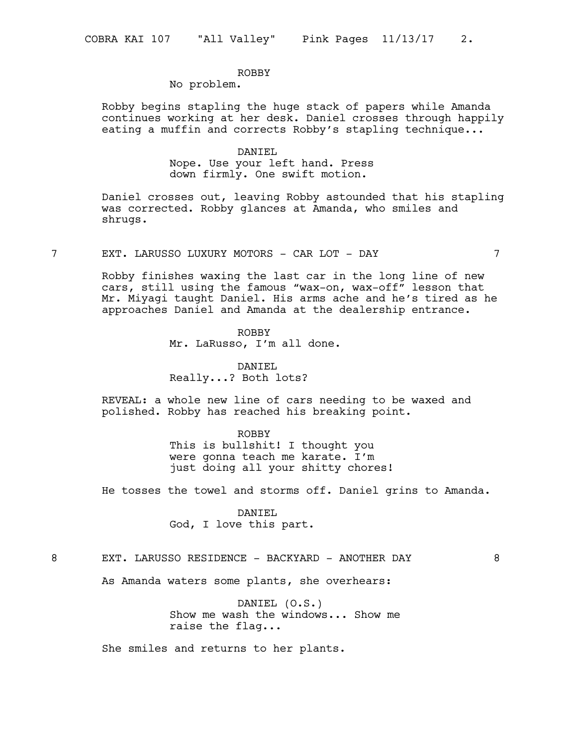# ROBBY

# No problem.

Robby begins stapling the huge stack of papers while Amanda continues working at her desk. Daniel crosses through happily eating a muffin and corrects Robby's stapling technique...

#### DANIEL

Nope. Use your left hand. Press down firmly. One swift motion.

Daniel crosses out, leaving Robby astounded that his stapling was corrected. Robby glances at Amanda, who smiles and shrugs.

7 EXT. LARUSSO LUXURY MOTORS - CAR LOT - DAY 7

Robby finishes waxing the last car in the long line of new cars, still using the famous "wax-on, wax-off" lesson that Mr. Miyagi taught Daniel. His arms ache and he's tired as he approaches Daniel and Amanda at the dealership entrance.

> ROBBY Mr. LaRusso, I'm all done.

DANIEL Really...? Both lots?

REVEAL: a whole new line of cars needing to be waxed and polished. Robby has reached his breaking point.

# ROBBY

This is bullshit! I thought you were gonna teach me karate. I'm just doing all your shitty chores!

He tosses the towel and storms off. Daniel grins to Amanda.

DANIEL God, I love this part.

# 8 EXT. LARUSSO RESIDENCE - BACKYARD - ANOTHER DAY 8

As Amanda waters some plants, she overhears:

DANIEL (O.S.) Show me wash the windows... Show me raise the flag...

She smiles and returns to her plants.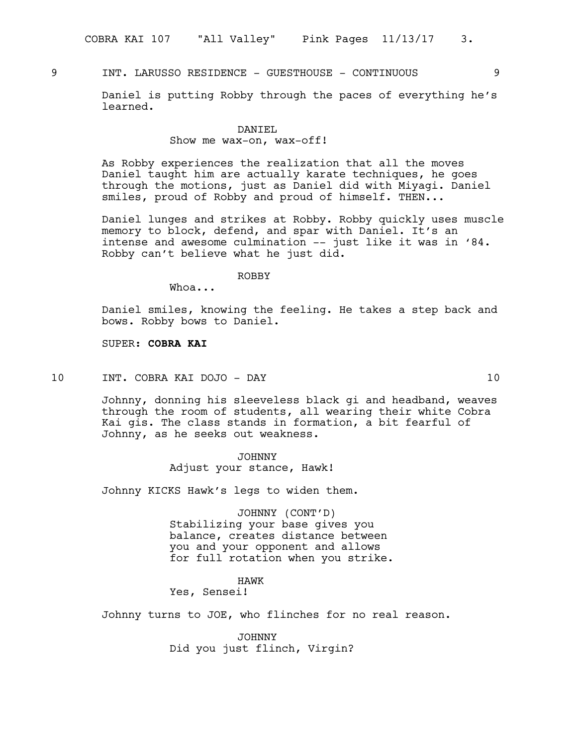9 INT. LARUSSO RESIDENCE - GUESTHOUSE - CONTINUOUS 9

Daniel is putting Robby through the paces of everything he's learned.

#### DANIEL

# Show me wax-on, wax-off!

As Robby experiences the realization that all the moves Daniel taught him are actually karate techniques, he goes through the motions, just as Daniel did with Miyagi. Daniel smiles, proud of Robby and proud of himself. THEN...

Daniel lunges and strikes at Robby. Robby quickly uses muscle memory to block, defend, and spar with Daniel. It's an intense and awesome culmination –- just like it was in '84. Robby can't believe what he just did.

ROBBY

Whoa...

Daniel smiles, knowing the feeling. He takes a step back and bows. Robby bows to Daniel.

SUPER: **COBRA KAI**

10 INT. COBRA KAI DOJO - DAY 10

Johnny, donning his sleeveless black gi and headband, weaves through the room of students, all wearing their white Cobra Kai gis. The class stands in formation, a bit fearful of Johnny, as he seeks out weakness.

> JOHNNY Adjust your stance, Hawk!

Johnny KICKS Hawk's legs to widen them.

JOHNNY (CONT'D) Stabilizing your base gives you balance, creates distance between you and your opponent and allows for full rotation when you strike.

# HAWK

# Yes, Sensei!

Johnny turns to JOE, who flinches for no real reason.

JOHNNY Did you just flinch, Virgin?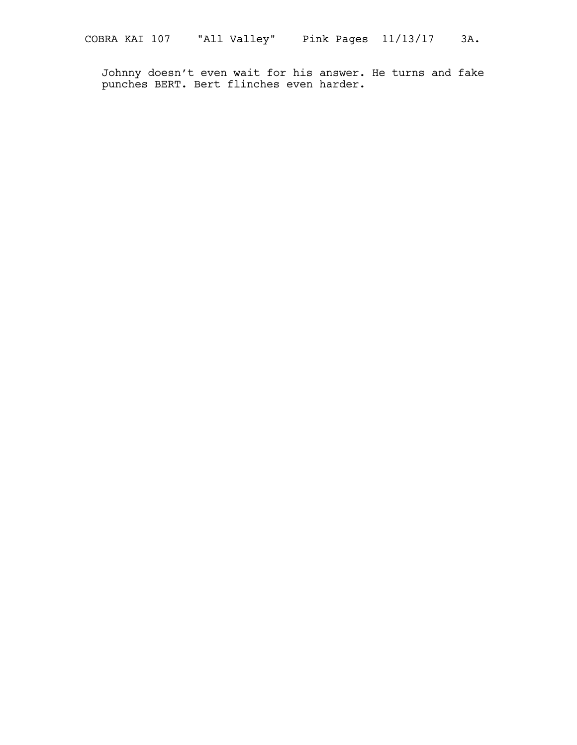Johnny doesn't even wait for his answer. He turns and fake punches BERT. Bert flinches even harder.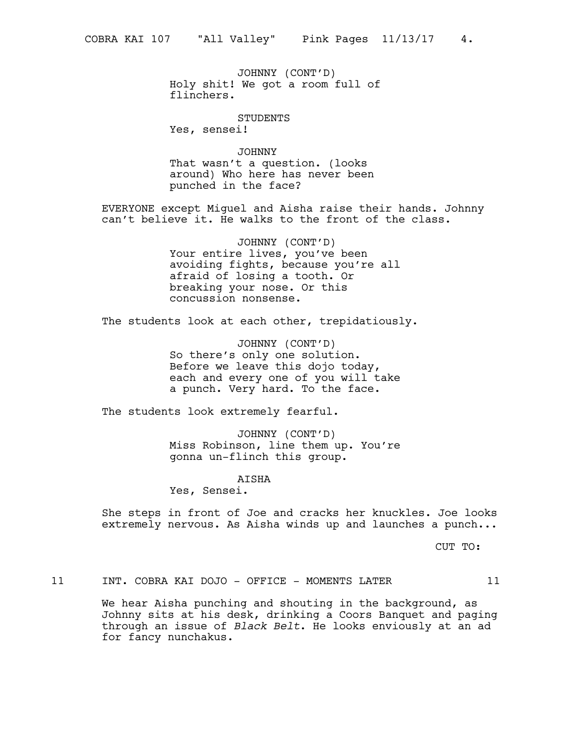JOHNNY (CONT'D) Holy shit! We got a room full of flinchers.

STUDENTS

Yes, sensei!

JOHNNY That wasn't a question. (looks around) Who here has never been punched in the face?

EVERYONE except Miguel and Aisha raise their hands. Johnny can't believe it. He walks to the front of the class.

> JOHNNY (CONT'D) Your entire lives, you've been avoiding fights, because you're all afraid of losing a tooth. Or breaking your nose. Or this concussion nonsense.

The students look at each other, trepidatiously.

JOHNNY (CONT'D) So there's only one solution. Before we leave this dojo today, each and every one of you will take a punch. Very hard. To the face.

The students look extremely fearful.

JOHNNY (CONT'D) Miss Robinson, line them up. You're gonna un-flinch this group.

AISHA

Yes, Sensei.

She steps in front of Joe and cracks her knuckles. Joe looks extremely nervous. As Aisha winds up and launches a punch...

CUT TO:

11 INT. COBRA KAI DOJO - OFFICE - MOMENTS LATER 11

We hear Aisha punching and shouting in the background, as Johnny sits at his desk, drinking a Coors Banquet and paging through an issue of *Black Belt*. He looks enviously at an ad for fancy nunchakus.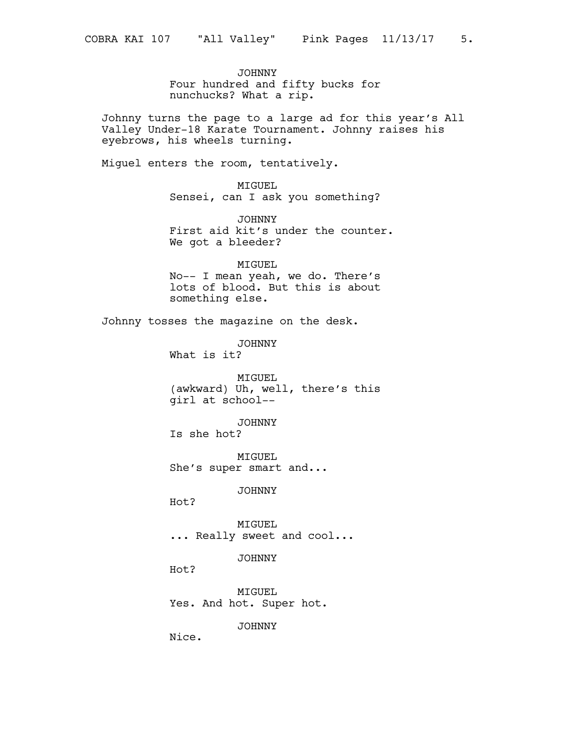JOHNNY Four hundred and fifty bucks for nunchucks? What a rip.

Johnny turns the page to a large ad for this year's All Valley Under-18 Karate Tournament. Johnny raises his eyebrows, his wheels turning.

Miguel enters the room, tentatively.

MIGUEL Sensei, can I ask you something?

JOHNNY First aid kit's under the counter. We got a bleeder?

MIGUEL No-- I mean yeah, we do. There's lots of blood. But this is about something else.

Johnny tosses the magazine on the desk.

JOHNNY What is it?

MIGUEL (awkward) Uh, well, there's this girl at school--

JOHNNY

Is she hot?

MIGUEL She's super smart and...

JOHNNY

Hot?

MIGUEL ... Really sweet and cool...

JOHNNY

Hot?

MIGUEL Yes. And hot. Super hot.

JOHNNY

Nice.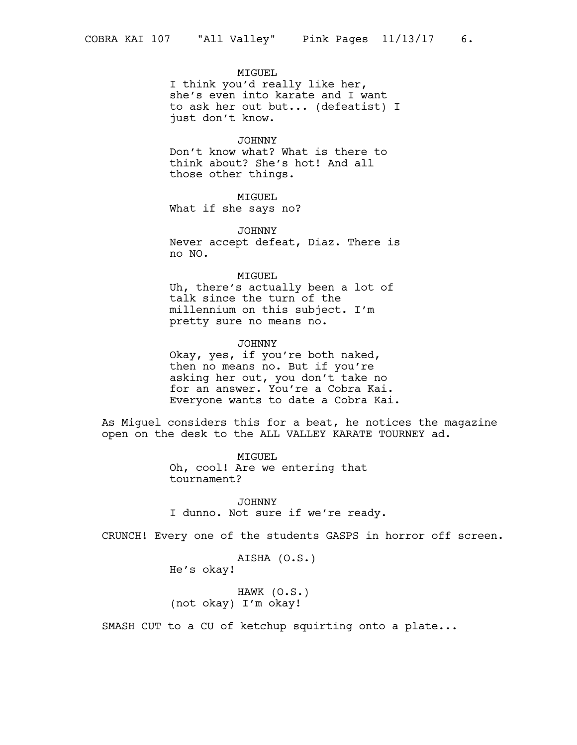# MIGUEL

I think you'd really like her, she's even into karate and I want to ask her out but... (defeatist) I just don't know.

#### JOHNNY

Don't know what? What is there to think about? She's hot! And all those other things.

# MIGUEL

What if she says no?

JOHNNY Never accept defeat, Diaz. There is no NO.

#### MIGUEL

Uh, there's actually been a lot of talk since the turn of the millennium on this subject. I'm pretty sure no means no.

JOHNNY Okay, yes, if you're both naked, then no means no. But if you're asking her out, you don't take no for an answer. You're a Cobra Kai. Everyone wants to date a Cobra Kai.

As Miguel considers this for a beat, he notices the magazine open on the desk to the ALL VALLEY KARATE TOURNEY ad.

> MIGUEL Oh, cool! Are we entering that tournament?

JOHNNY I dunno. Not sure if we're ready.

CRUNCH! Every one of the students GASPS in horror off screen.

```
AISHA (O.S.)
He's okay!
```
HAWK (O.S.) (not okay) I'm okay!

SMASH CUT to a CU of ketchup squirting onto a plate...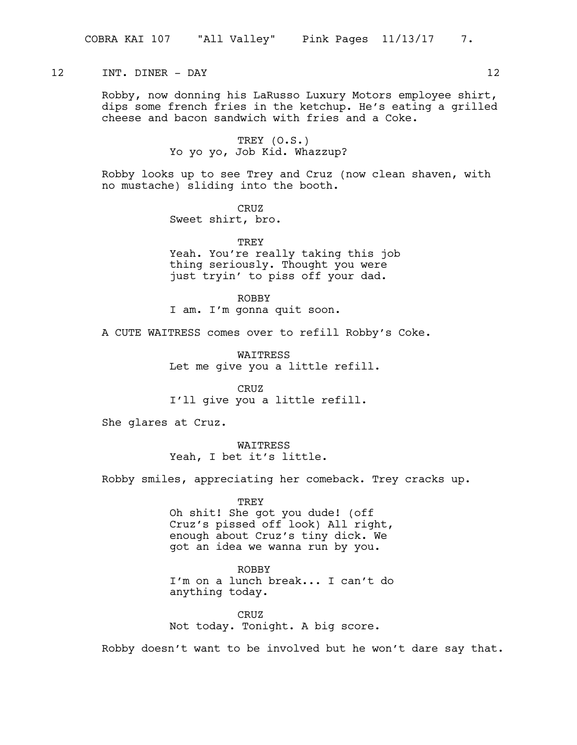# 12 INT. DINER – DAY 12

Robby, now donning his LaRusso Luxury Motors employee shirt, dips some french fries in the ketchup. He's eating a grilled cheese and bacon sandwich with fries and a Coke.

> TREY (O.S.) Yo yo yo, Job Kid. Whazzup?

Robby looks up to see Trey and Cruz (now clean shaven, with no mustache) sliding into the booth.

> CRUZ Sweet shirt, bro.

TREY Yeah. You're really taking this job thing seriously. Thought you were just tryin' to piss off your dad.

ROBBY I am. I'm gonna quit soon.

A CUTE WAITRESS comes over to refill Robby's Coke.

WAITRESS Let me give you a little refill.

CRUZ I'll give you a little refill.

She glares at Cruz.

WAITRESS Yeah, I bet it's little.

Robby smiles, appreciating her comeback. Trey cracks up.

TREY Oh shit! She got you dude! (off Cruz's pissed off look) All right, enough about Cruz's tiny dick. We got an idea we wanna run by you.

ROBBY I'm on a lunch break... I can't do anything today.

CRUZ Not today. Tonight. A big score.

Robby doesn't want to be involved but he won't dare say that.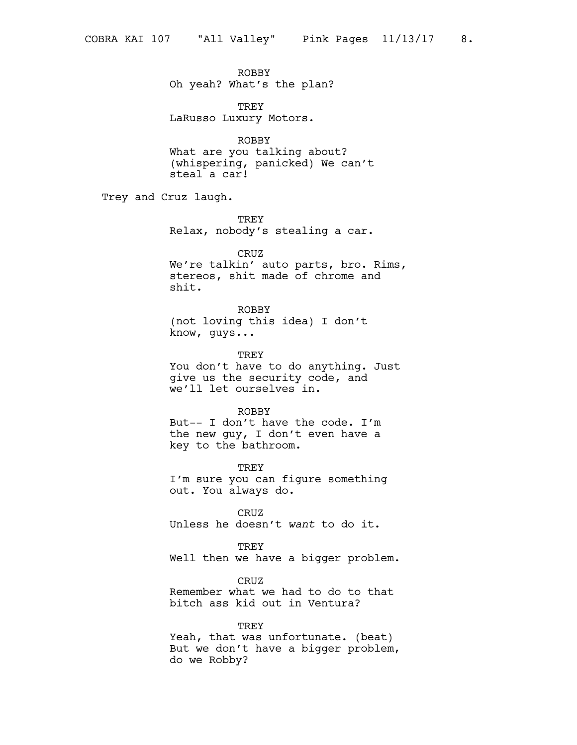ROBBY Oh yeah? What's the plan?

TREY LaRusso Luxury Motors.

ROBBY What are you talking about? (whispering, panicked) We can't steal a car!

Trey and Cruz laugh.

TREY Relax, nobody's stealing a car.

CRUZ We're talkin' auto parts, bro. Rims, stereos, shit made of chrome and shit.

ROBBY (not loving this idea) I don't know, guys...

TREY You don't have to do anything. Just give us the security code, and we'll let ourselves in.

ROBBY But-- I don't have the code. I'm the new guy, I don't even have a key to the bathroom.

TREY I'm sure you can figure something out. You always do.

CRUZ Unless he doesn't *want* to do it.

TREY Well then we have a bigger problem.

CRUZ Remember what we had to do to that bitch ass kid out in Ventura?

TREY Yeah, that was unfortunate. (beat) But we don't have a bigger problem, do we Robby?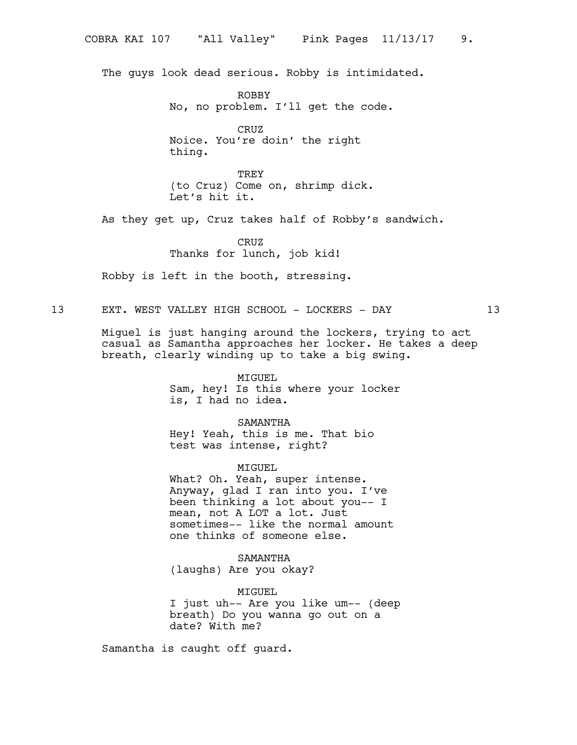The guys look dead serious. Robby is intimidated.

ROBBY No, no problem. I'll get the code.

CRUZ Noice. You're doin' the right thing.

TREY (to Cruz) Come on, shrimp dick. Let's hit it.

As they get up, Cruz takes half of Robby's sandwich.

CRUZ Thanks for lunch, job kid!

Robby is left in the booth, stressing.

13 EXT. WEST VALLEY HIGH SCHOOL - LOCKERS - DAY 13

Miguel is just hanging around the lockers, trying to act casual as Samantha approaches her locker. He takes a deep breath, clearly winding up to take a big swing.

> MIGUEL Sam, hey! Is this where your locker is, I had no idea.

SAMANTHA Hey! Yeah, this is me. That bio test was intense, right?

MIGUEL

What? Oh. Yeah, super intense. Anyway, glad I ran into you. I've been thinking a lot about you-- I mean, not A LOT a lot. Just sometimes-- like the normal amount one thinks of someone else.

SAMANTHA (laughs) Are you okay?

MIGUEL I just uh-- Are you like um-- (deep breath) Do you wanna go out on a date? With me?

Samantha is caught off guard.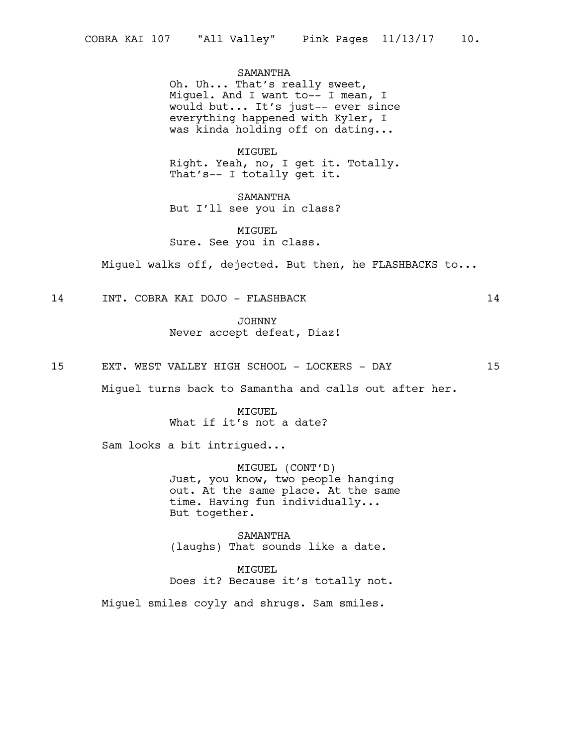SAMANTHA

Oh. Uh... That's really sweet, Miguel. And I want to-- I mean, I would but... It's just-- ever since everything happened with Kyler, I was kinda holding off on dating...

MIGUEL

Right. Yeah, no, I get it. Totally. That's-- I totally get it.

SAMANTHA But I'll see you in class?

MIGUEL Sure. See you in class.

Miguel walks off, dejected. But then, he FLASHBACKS to...

14 INT. COBRA KAI DOJO - FLASHBACK 14

JOHNNY Never accept defeat, Diaz!

15 EXT. WEST VALLEY HIGH SCHOOL - LOCKERS - DAY 15

Miguel turns back to Samantha and calls out after her.

MIGUEL What if it's not a date?

Sam looks a bit intrigued...

MIGUEL (CONT'D) Just, you know, two people hanging out. At the same place. At the same time. Having fun individually... But together.

SAMANTHA (laughs) That sounds like a date.

MIGUEL Does it? Because it's totally not.

Miguel smiles coyly and shrugs. Sam smiles.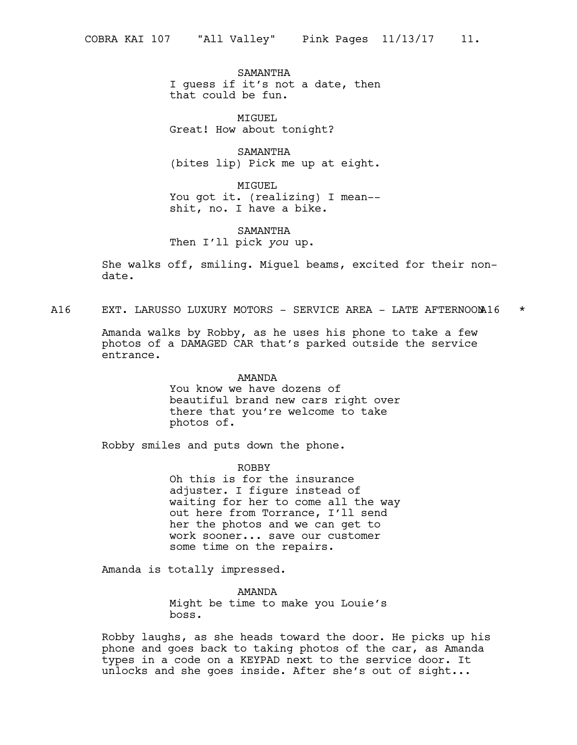SAMANTHA I guess if it's not a date, then that could be fun.

MIGUEL Great! How about tonight?

SAMANTHA (bites lip) Pick me up at eight.

MIGUEL You got it. (realizing) I mean- shit, no. I have a bike.

SAMANTHA Then I'll pick *you* up.

She walks off, smiling. Miguel beams, excited for their nondate.

A16 EXT. LARUSSO LUXURY MOTORS - SERVICE AREA - LATE AFTERNOOM16 \*

Amanda walks by Robby, as he uses his phone to take a few photos of a DAMAGED CAR that's parked outside the service entrance.

#### AMANDA

You know we have dozens of beautiful brand new cars right over there that you're welcome to take photos of.

Robby smiles and puts down the phone.

ROBBY

Oh this is for the insurance adjuster. I figure instead of waiting for her to come all the way out here from Torrance, I'll send her the photos and we can get to work sooner... save our customer some time on the repairs.

Amanda is totally impressed.

AMANDA Might be time to make you Louie's boss.

Robby laughs, as she heads toward the door. He picks up his phone and goes back to taking photos of the car, as Amanda types in a code on a KEYPAD next to the service door. It unlocks and she goes inside. After she's out of sight...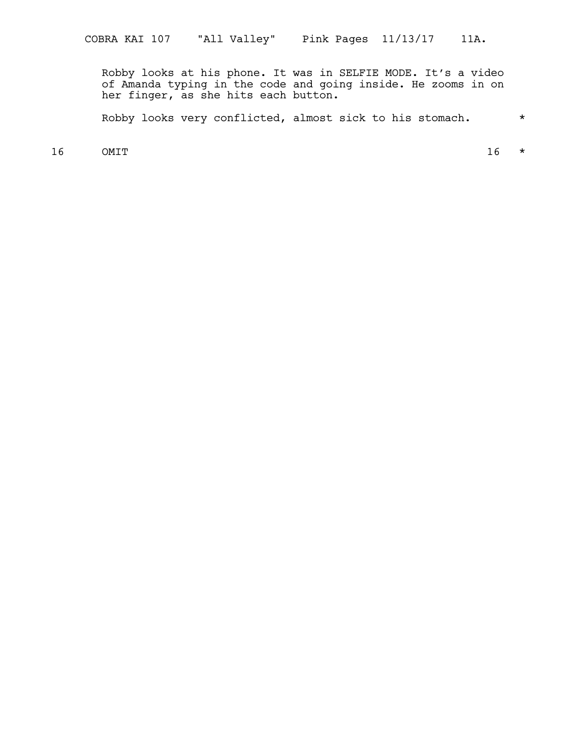Robby looks at his phone. It was in SELFIE MODE. It's a video of Amanda typing in the code and going inside. He zooms in on her finger, as she hits each button.

Robby looks very conflicted, almost sick to his stomach. \*

 $16$  OMIT 16  $\star$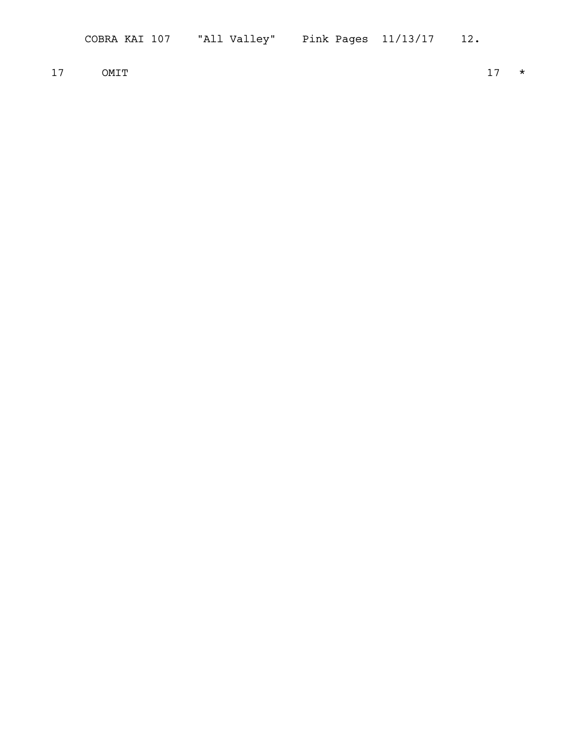17 OMIT  $17 \times$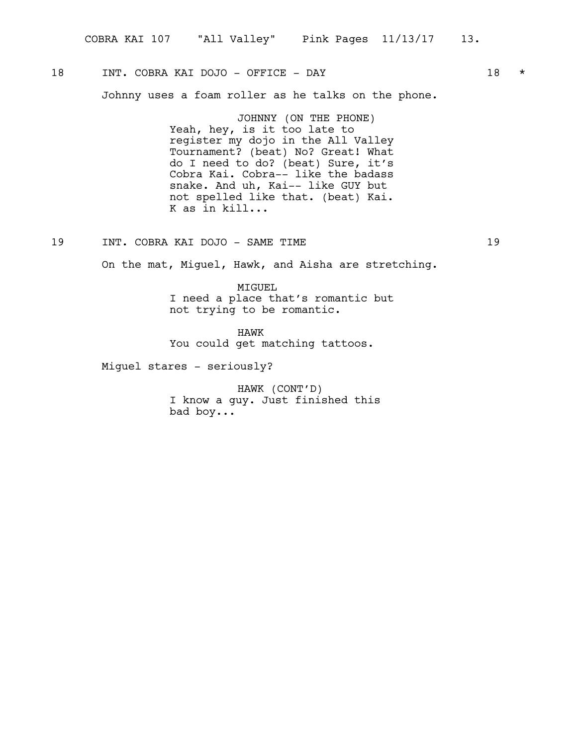# 18 INT. COBRA KAI DOJO – OFFICE – DAY 18 \*

Johnny uses a foam roller as he talks on the phone.

JOHNNY (ON THE PHONE) Yeah, hey, is it too late to register my dojo in the All Valley Tournament? (beat) No? Great! What do I need to do? (beat) Sure, it's Cobra Kai. Cobra-- like the badass snake. And uh, Kai-- like GUY but not spelled like that. (beat) Kai. K as in kill...

19 INT. COBRA KAI DOJO - SAME TIME 19

On the mat, Miguel, Hawk, and Aisha are stretching.

MIGUEL I need a place that's romantic but not trying to be romantic.

HAWK You could get matching tattoos.

Miguel stares - seriously?

HAWK (CONT'D) I know a guy. Just finished this bad boy...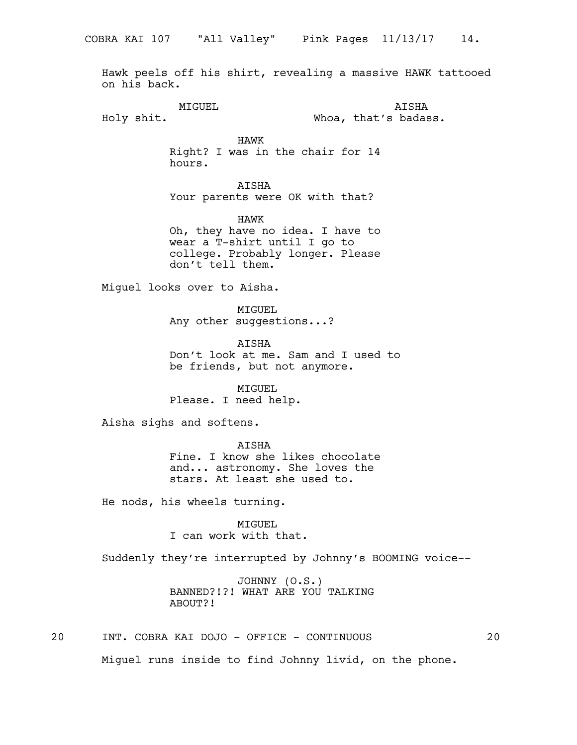Hawk peels off his shirt, revealing a massive HAWK tattooed on his back.

MIGUEL Holy shit.

AISHA Whoa, that's badass.

HAWK Right? I was in the chair for 14 hours.

AISHA Your parents were OK with that?

HAWK Oh, they have no idea. I have to wear a T-shirt until I go to college. Probably longer. Please don't tell them.

Miguel looks over to Aisha.

MIGUEL Any other suggestions...?

**ATSHA** Don't look at me. Sam and I used to be friends, but not anymore.

MIGUEL Please. I need help.

Aisha sighs and softens.

AISHA Fine. I know she likes chocolate and... astronomy. She loves the stars. At least she used to.

He nods, his wheels turning.

MIGUEL I can work with that.

Suddenly they're interrupted by Johnny's BOOMING voice--

JOHNNY (O.S.) BANNED?!?! WHAT ARE YOU TALKING ABOUT?!

20 INT. COBRA KAI DOJO - OFFICE - CONTINUOUS 20

Miguel runs inside to find Johnny livid, on the phone.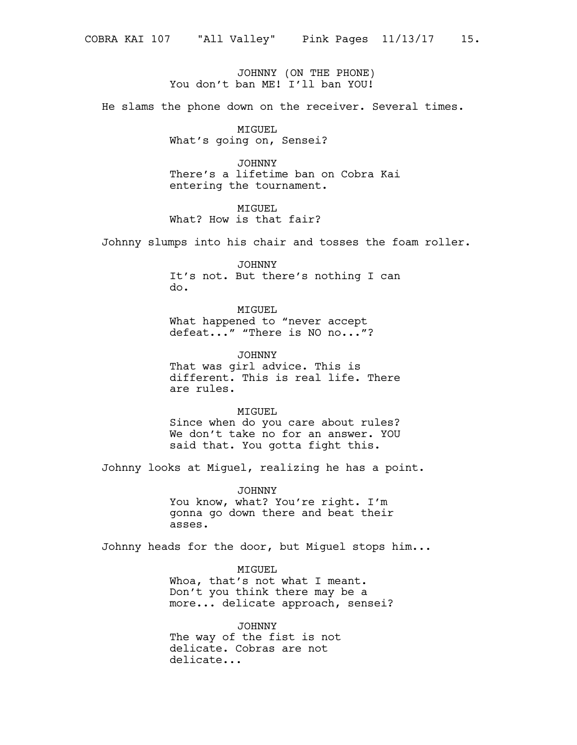JOHNNY (ON THE PHONE) You don't ban ME! I'll ban YOU!

He slams the phone down on the receiver. Several times.

MIGUEL What's going on, Sensei?

JOHNNY There's a lifetime ban on Cobra Kai entering the tournament.

MIGUEL What? How is that fair?

Johnny slumps into his chair and tosses the foam roller.

JOHNNY It's not. But there's nothing I can do.

MIGUEL What happened to "never accept defeat..." "There is NO no..."?

JOHNNY That was girl advice. This is different. This is real life. There are rules.

MIGUEL Since when do you care about rules? We don't take no for an answer. YOU said that. You gotta fight this.

Johnny looks at Miguel, realizing he has a point.

JOHNNY You know, what? You're right. I'm gonna go down there and beat their asses.

Johnny heads for the door, but Miguel stops him...

MIGUEL Whoa, that's not what I meant. Don't you think there may be a more... delicate approach, sensei?

JOHNNY The way of the fist is not delicate. Cobras are not delicate...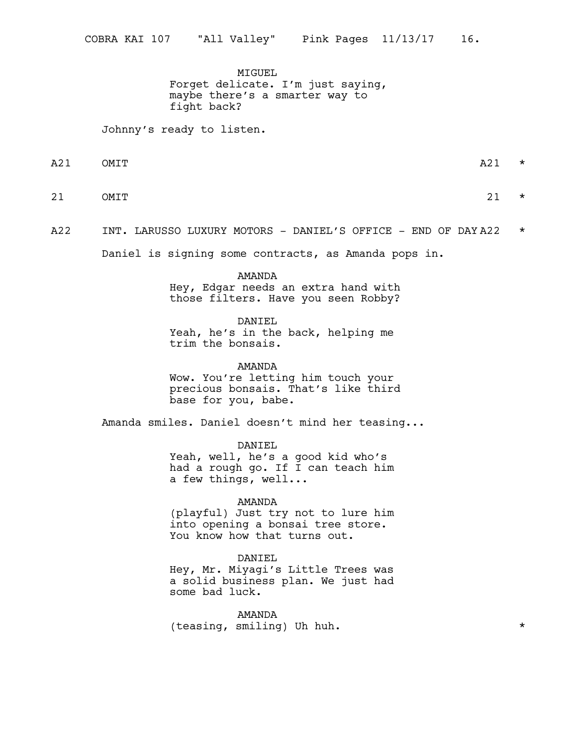MIGUEL Forget delicate. I'm just saying, maybe there's a smarter way to fight back?

Johnny's ready to listen.

 $A21$  OMIT

- 21 OMIT 21  $\star$ 
	-
- A22 INT. LARUSSO LUXURY MOTORS DANIEL'S OFFICE END OF DAY A22  $\star$

Daniel is signing some contracts, as Amanda pops in.

AMANDA Hey, Edgar needs an extra hand with those filters. Have you seen Robby?

DANIEL

Yeah, he's in the back, helping me trim the bonsais.

AMANDA Wow. You're letting him touch your precious bonsais. That's like third base for you, babe.

Amanda smiles. Daniel doesn't mind her teasing...

DANIEL Yeah, well, he's a good kid who's had a rough go. If I can teach him a few things, well...

### AMANDA

(playful) Just try not to lure him into opening a bonsai tree store. You know how that turns out.

# DANIEL

Hey, Mr. Miyagi's Little Trees was a solid business plan. We just had some bad luck.

AMANDA (teasing, smiling) Uh huh. \*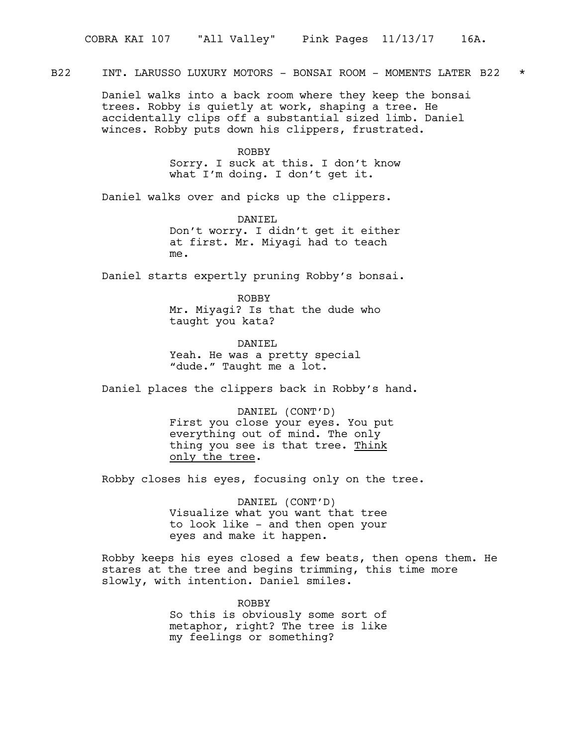B22 INT. LARUSSO LUXURY MOTORS - BONSAI ROOM - MOMENTS LATER B22 \*

Daniel walks into a back room where they keep the bonsai trees. Robby is quietly at work, shaping a tree. He accidentally clips off a substantial sized limb. Daniel winces. Robby puts down his clippers, frustrated.

ROBBY

Sorry. I suck at this. I don't know what I'm doing. I don't get it.

Daniel walks over and picks up the clippers.

DANIEL Don't worry. I didn't get it either at first. Mr. Miyagi had to teach me.

Daniel starts expertly pruning Robby's bonsai.

ROBBY Mr. Miyagi? Is that the dude who taught you kata?

DANTEL Yeah. He was a pretty special "dude." Taught me a lot.

Daniel places the clippers back in Robby's hand.

DANIEL (CONT'D) First you close your eyes. You put everything out of mind. The only thing you see is that tree. Think only the tree.

Robby closes his eyes, focusing only on the tree.

DANIEL (CONT'D) Visualize what you want that tree to look like - and then open your eyes and make it happen.

Robby keeps his eyes closed a few beats, then opens them. He stares at the tree and begins trimming, this time more slowly, with intention. Daniel smiles.

> ROBBY So this is obviously some sort of metaphor, right? The tree is like my feelings or something?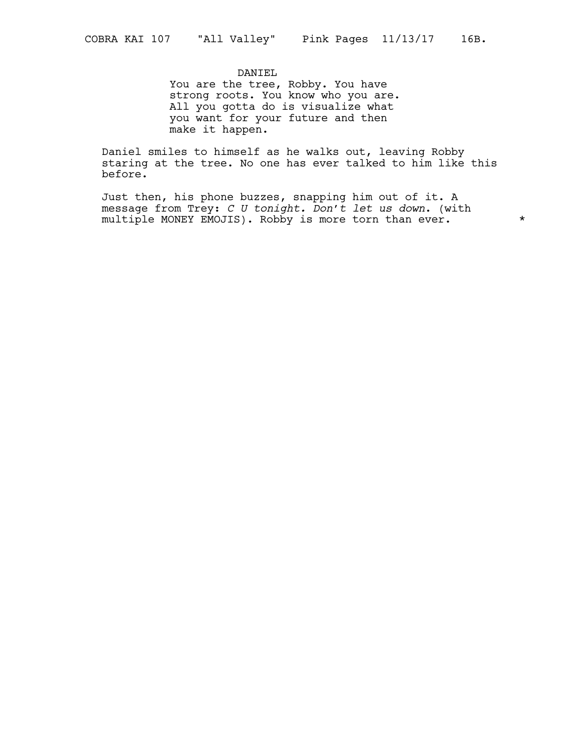# DANIEL

You are the tree, Robby. You have strong roots. You know who you are. All you gotta do is visualize what you want for your future and then make it happen.

Daniel smiles to himself as he walks out, leaving Robby staring at the tree. No one has ever talked to him like this before.

Just then, his phone buzzes, snapping him out of it. A message from Trey: *C U tonight. Don't let us down*. (with multiple MONEY EMOJIS). Robby is more torn than ever.  $*$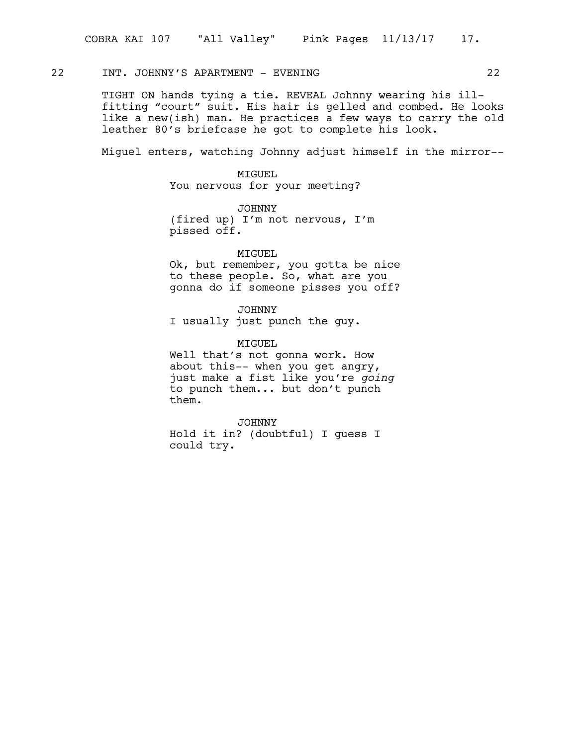# 22 INT. JOHNNY'S APARTMENT - EVENING 22

TIGHT ON hands tying a tie. REVEAL Johnny wearing his illfitting "court" suit. His hair is gelled and combed. He looks like a new(ish) man. He practices a few ways to carry the old leather 80's briefcase he got to complete his look.

Miguel enters, watching Johnny adjust himself in the mirror--

MIGUEL You nervous for your meeting?

JOHNNY (fired up) I'm not nervous, I'm pissed off.

# MIGUEL

Ok, but remember, you gotta be nice to these people. So, what are you gonna do if someone pisses you off?

JOHNNY I usually just punch the guy.

MTGUEL Well that's not gonna work. How about this-- when you get angry, just make a fist like you're *going* to punch them... but don't punch them.

JOHNNY Hold it in? (doubtful) I guess I could try.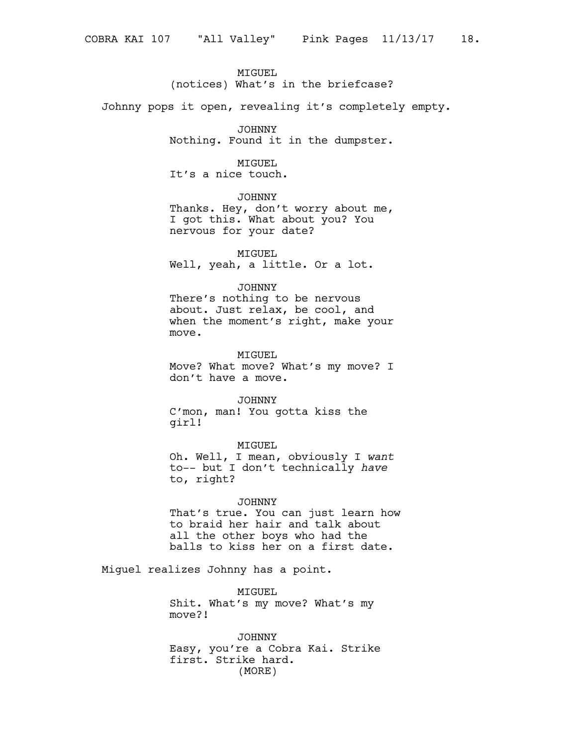# MIGUEL

(notices) What's in the briefcase?

Johnny pops it open, revealing it's completely empty.

JOHNNY

Nothing. Found it in the dumpster.

# MIGUEL

It's a nice touch.

JOHNNY

Thanks. Hey, don't worry about me, I got this. What about you? You nervous for your date?

MIGUEL Well, yeah, a little. Or a lot.

# JOHNNY

There's nothing to be nervous about. Just relax, be cool, and when the moment's right, make your move.

MIGUEL

Move? What move? What's my move? I don't have a move.

# JOHNNY

C'mon, man! You gotta kiss the girl!

# MIGUEL

Oh. Well, I mean, obviously I *want* to-- but I don't technically *have* to, right?

# JOHNNY

That's true. You can just learn how to braid her hair and talk about all the other boys who had the balls to kiss her on a first date.

Miguel realizes Johnny has a point.

MIGUEL Shit. What's my move? What's my move?!

JOHNNY Easy, you're a Cobra Kai. Strike first. Strike hard. (MORE)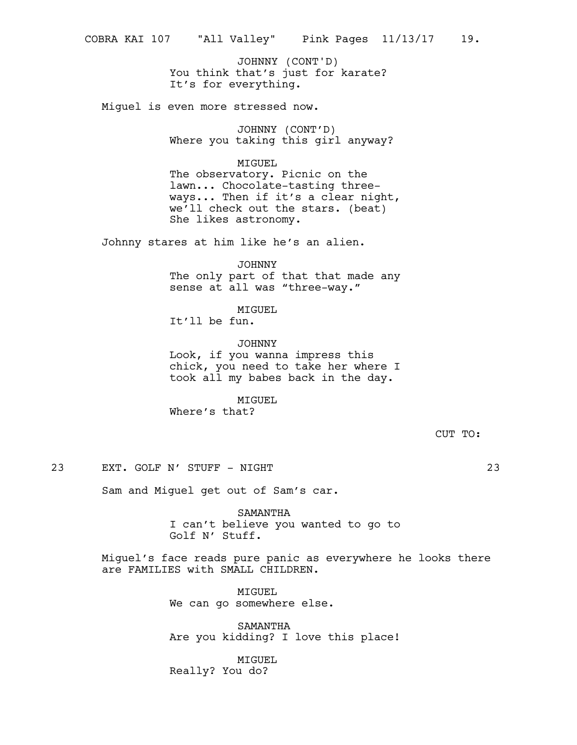You think that's just for karate? It's for everything. JOHNNY (CONT'D)

Miguel is even more stressed now.

JOHNNY (CONT'D) Where you taking this girl anyway?

MIGUEL

The observatory. Picnic on the lawn... Chocolate-tasting threeways... Then if it's a clear night, we'll check out the stars. (beat) She likes astronomy.

Johnny stares at him like he's an alien.

JOHNNY The only part of that that made any sense at all was "three-way."

MIGUEL It'll be fun.

JOHNNY Look, if you wanna impress this chick, you need to take her where I took all my babes back in the day.

MIGUEL Where's that?

CUT TO:

23 EXT. GOLF N' STUFF - NIGHT 23

Sam and Miguel get out of Sam's car.

SAMANTHA I can't believe you wanted to go to Golf N' Stuff.

Miguel's face reads pure panic as everywhere he looks there are FAMILIES with SMALL CHILDREN.

> MIGUEL We can go somewhere else.

SAMANTHA Are you kidding? I love this place!

MIGUEL Really? You do?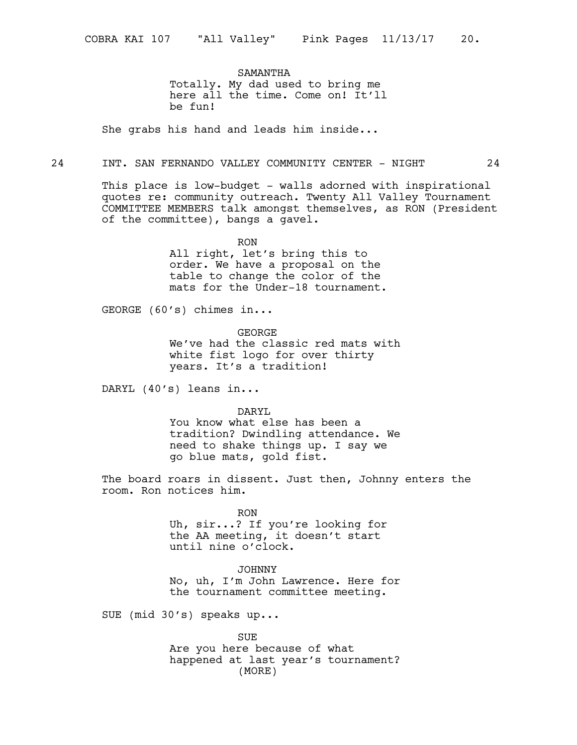SAMANTHA Totally. My dad used to bring me here all the time. Come on! It'll be fun!

She grabs his hand and leads him inside...

# 24 INT. SAN FERNANDO VALLEY COMMUNITY CENTER - NIGHT 24

This place is low-budget - walls adorned with inspirational quotes re: community outreach. Twenty All Valley Tournament COMMITTEE MEMBERS talk amongst themselves, as RON (President of the committee), bangs a gavel.

> RON All right, let's bring this to order. We have a proposal on the table to change the color of the mats for the Under-18 tournament.

GEORGE (60's) chimes in...

GEORGE We've had the classic red mats with white fist logo for over thirty years. It's a tradition!

DARYL (40's) leans in...

DARYL

You know what else has been a tradition? Dwindling attendance. We need to shake things up. I say we go blue mats, gold fist.

The board roars in dissent. Just then, Johnny enters the room. Ron notices him.

> RON Uh, sir...? If you're looking for the AA meeting, it doesn't start until nine o'clock.

JOHNNY No, uh, I'm John Lawrence. Here for the tournament committee meeting.

SUE (mid 30's) speaks up...

SUE Are you here because of what happened at last year's tournament? (MORE)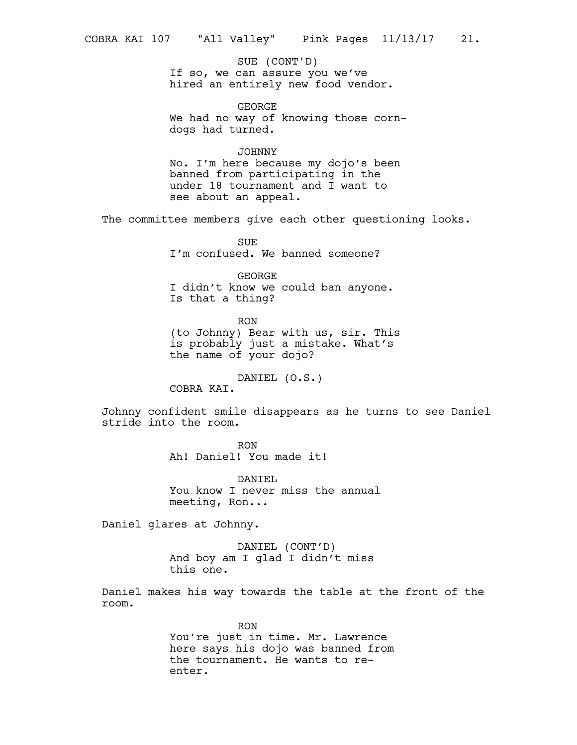If so, we can assure you we've hired an entirely new food vendor. SUE (CONT'D)

GEORGE We had no way of knowing those corndogs had turned.

# JOHNNY

No. I'm here because my dojo's been banned from participating in the under 18 tournament and I want to see about an appeal.

The committee members give each other questioning looks.

**SUE** I'm confused. We banned someone?

GEORGE I didn't know we could ban anyone. Is that a thing?

RON (to Johnny) Bear with us, sir. This is probably just a mistake. What's the name of your dojo?

DANIEL (O.S.)

COBRA KAI.

Johnny confident smile disappears as he turns to see Daniel stride into the room.

> RON Ah! Daniel! You made it!

DANIEL You know I never miss the annual meeting, Ron...

Daniel glares at Johnny.

DANIEL (CONT'D) And boy am I glad I didn't miss this one.

Daniel makes his way towards the table at the front of the room.

> RON You're just in time. Mr. Lawrence here says his dojo was banned from the tournament. He wants to reenter.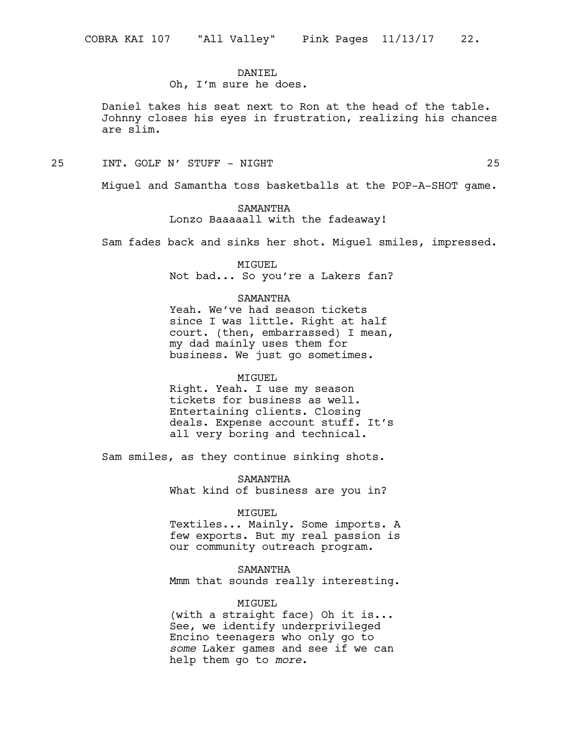# DANTEL

Oh, I'm sure he does.

Daniel takes his seat next to Ron at the head of the table. Johnny closes his eyes in frustration, realizing his chances are slim.

25 INT. GOLF N' STUFF - NIGHT 25

Miguel and Samantha toss basketballs at the POP-A-SHOT game.

SAMANTHA Lonzo Baaaaall with the fadeaway!

Sam fades back and sinks her shot. Miguel smiles, impressed.

MIGUEL Not bad... So you're a Lakers fan?

#### SAMANTHA

Yeah. We've had season tickets since I was little. Right at half court. (then, embarrassed) I mean, my dad mainly uses them for business. We just go sometimes.

#### MIGUEL

Right. Yeah. I use my season tickets for business as well. Entertaining clients. Closing deals. Expense account stuff. It's all very boring and technical.

Sam smiles, as they continue sinking shots.

SAMANTHA What kind of business are you in?

#### MIGUEL

Textiles... Mainly. Some imports. A few exports. But my real passion is our community outreach program.

#### SAMANTHA

Mmm that sounds really interesting.

# MIGUEL

(with a straight face) Oh it is... See, we identify underprivileged Encino teenagers who only go to *some* Laker games and see if we can help them go to *more*.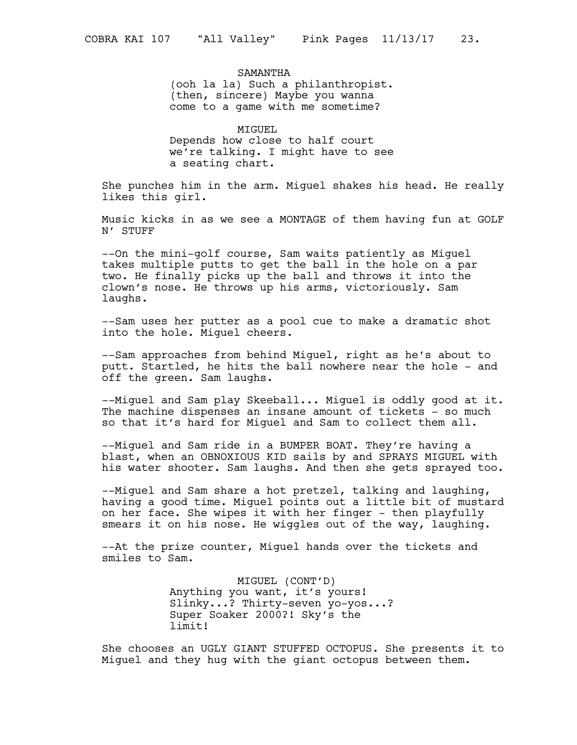SAMANTHA (ooh la la) Such a philanthropist. (then, sincere) Maybe you wanna come to a game with me sometime?

MIGUEL Depends how close to half court we're talking. I might have to see a seating chart.

She punches him in the arm. Miguel shakes his head. He really likes this girl.

Music kicks in as we see a MONTAGE of them having fun at GOLF N' STUFF

--On the mini-golf course, Sam waits patiently as Miguel takes multiple putts to get the ball in the hole on a par two. He finally picks up the ball and throws it into the clown's nose. He throws up his arms, victoriously. Sam laughs.

--Sam uses her putter as a pool cue to make a dramatic shot into the hole. Miguel cheers.

--Sam approaches from behind Miguel, right as he's about to putt. Startled, he hits the ball nowhere near the hole - and off the green. Sam laughs.

--Miguel and Sam play Skeeball... Miguel is oddly good at it. The machine dispenses an insane amount of tickets - so much so that it's hard for Miguel and Sam to collect them all.

--Miguel and Sam ride in a BUMPER BOAT. They're having a blast, when an OBNOXIOUS KID sails by and SPRAYS MIGUEL with his water shooter. Sam laughs. And then she gets sprayed too.

--Miguel and Sam share a hot pretzel, talking and laughing, having a good time. Miguel points out a little bit of mustard on her face. She wipes it with her finger - then playfully smears it on his nose. He wiggles out of the way, laughing.

--At the prize counter, Miguel hands over the tickets and smiles to Sam.

> MIGUEL (CONT'D) Anything you want, it's yours! Slinky...? Thirty-seven yo-yos...? Super Soaker 2000?! Sky's the limit!

She chooses an UGLY GIANT STUFFED OCTOPUS. She presents it to Miguel and they hug with the giant octopus between them.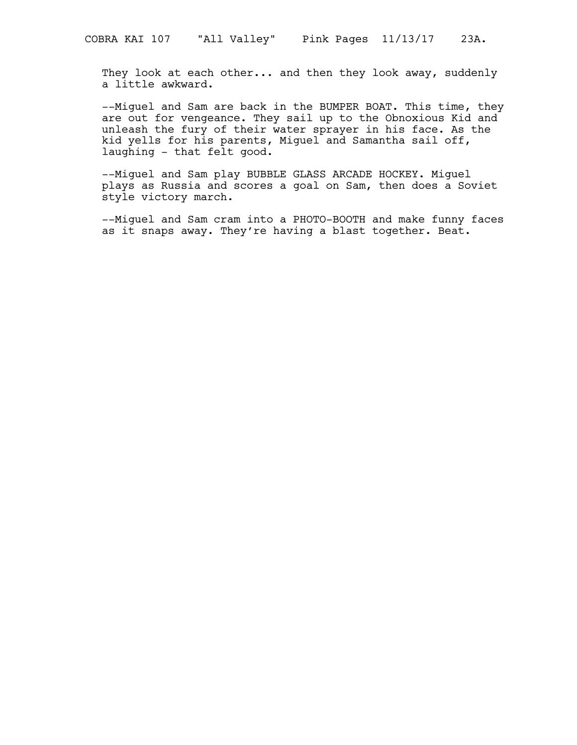They look at each other... and then they look away, suddenly a little awkward.

--Miguel and Sam are back in the BUMPER BOAT. This time, they are out for vengeance. They sail up to the Obnoxious Kid and unleash the fury of their water sprayer in his face. As the kid yells for his parents, Miguel and Samantha sail off, laughing - that felt good.

--Miguel and Sam play BUBBLE GLASS ARCADE HOCKEY. Miguel plays as Russia and scores a goal on Sam, then does a Soviet style victory march.

--Miguel and Sam cram into a PHOTO-BOOTH and make funny faces as it snaps away. They're having a blast together. Beat.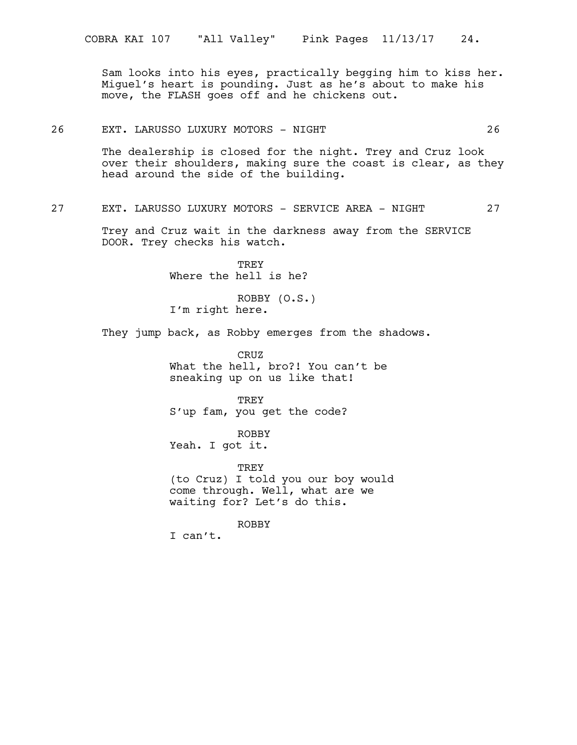Sam looks into his eyes, practically begging him to kiss her. Miguel's heart is pounding. Just as he's about to make his move, the FLASH goes off and he chickens out.

# 26 EXT. LARUSSO LUXURY MOTORS - NIGHT 26

The dealership is closed for the night. Trey and Cruz look over their shoulders, making sure the coast is clear, as they head around the side of the building.

# 27 EXT. LARUSSO LUXURY MOTORS - SERVICE AREA - NIGHT 27

Trey and Cruz wait in the darkness away from the SERVICE DOOR. Trey checks his watch.

> TREY Where the hell is he?

ROBBY (O.S.) I'm right here.

They jump back, as Robby emerges from the shadows.

CRUZ What the hell, bro?! You can't be sneaking up on us like that!

TREY S'up fam, you get the code?

ROBBY Yeah. I got it.

TREY (to Cruz) I told you our boy would come through. Well, what are we waiting for? Let's do this.

ROBBY I can't.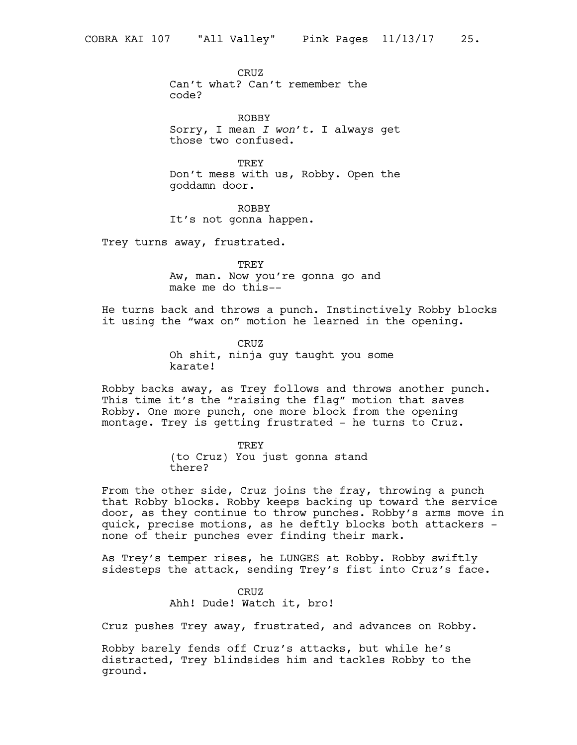CRUZ Can't what? Can't remember the code?

ROBBY Sorry, I mean *I won't.* I always get those two confused.

TREY Don't mess with us, Robby. Open the goddamn door.

ROBBY It's not gonna happen.

Trey turns away, frustrated.

TREY Aw, man. Now you're gonna go and make me do this--

He turns back and throws a punch. Instinctively Robby blocks it using the "wax on" motion he learned in the opening.

> CRUZ Oh shit, ninja guy taught you some karate!

Robby backs away, as Trey follows and throws another punch. This time it's the "raising the flag" motion that saves Robby. One more punch, one more block from the opening montage. Trey is getting frustrated - he turns to Cruz.

> TREY (to Cruz) You just gonna stand there?

From the other side, Cruz joins the fray, throwing a punch that Robby blocks. Robby keeps backing up toward the service door, as they continue to throw punches. Robby's arms move in quick, precise motions, as he deftly blocks both attackers none of their punches ever finding their mark.

As Trey's temper rises, he LUNGES at Robby. Robby swiftly sidesteps the attack, sending Trey's fist into Cruz's face.

> CRUZ Ahh! Dude! Watch it, bro!

Cruz pushes Trey away, frustrated, and advances on Robby.

Robby barely fends off Cruz's attacks, but while he's distracted, Trey blindsides him and tackles Robby to the ground.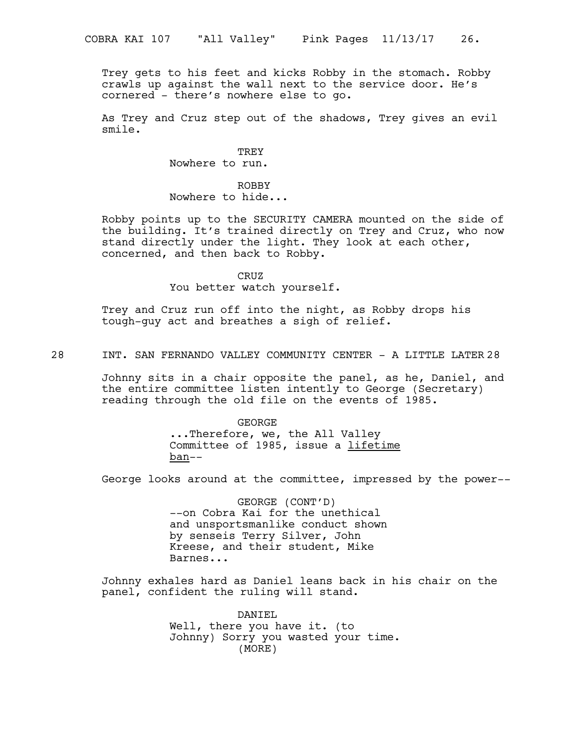Trey gets to his feet and kicks Robby in the stomach. Robby crawls up against the wall next to the service door. He's cornered - there's nowhere else to go.

As Trey and Cruz step out of the shadows, Trey gives an evil smile.

> TREY Nowhere to run.

ROBBY Nowhere to hide...

Robby points up to the SECURITY CAMERA mounted on the side of the building. It's trained directly on Trey and Cruz, who now stand directly under the light. They look at each other, concerned, and then back to Robby.

CRUZ

You better watch yourself.

Trey and Cruz run off into the night, as Robby drops his tough-guy act and breathes a sigh of relief.

28 INT. SAN FERNANDO VALLEY COMMUNITY CENTER - A LITTLE LATER 28

Johnny sits in a chair opposite the panel, as he, Daniel, and the entire committee listen intently to George (Secretary) reading through the old file on the events of 1985.

> GEORGE ...Therefore, we, the All Valley Committee of 1985, issue a lifetime ban--

George looks around at the committee, impressed by the power--

GEORGE (CONT'D) --on Cobra Kai for the unethical and unsportsmanlike conduct shown by senseis Terry Silver, John Kreese, and their student, Mike Barnes...

Johnny exhales hard as Daniel leans back in his chair on the panel, confident the ruling will stand.

> DANIEL Well, there you have it. (to Johnny) Sorry you wasted your time. (MORE)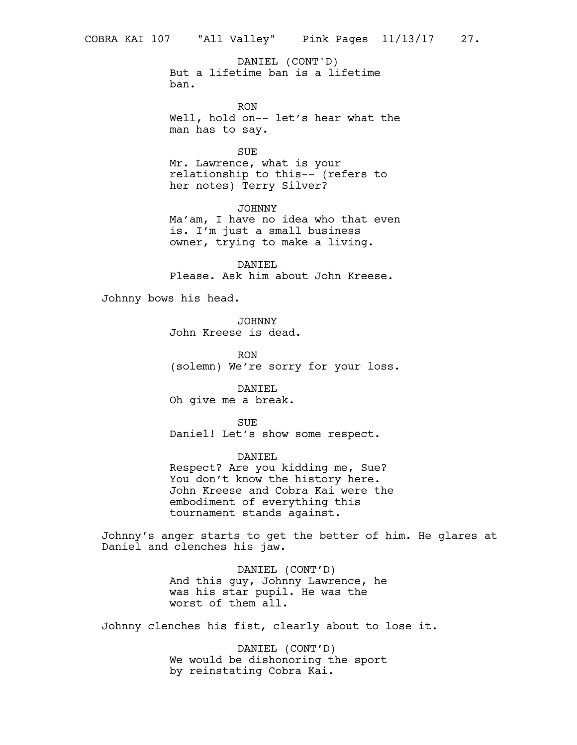But a lifetime ban is a lifetime ban. DANIEL (CONT'D)

RON Well, hold on-- let's hear what the man has to say.

SUE

Mr. Lawrence, what is your relationship to this-- (refers to her notes) Terry Silver?

JOHNNY Ma'am, I have no idea who that even is. I'm just a small business owner, trying to make a living.

DANIEL Please. Ask him about John Kreese.

Johnny bows his head.

JOHNNY John Kreese is dead.

RON (solemn) We're sorry for your loss.

DANIEL Oh give me a break.

SUE Daniel! Let's show some respect.

DANIEL Respect? Are you kidding me, Sue? You don't know the history here. John Kreese and Cobra Kai were the embodiment of everything this tournament stands against.

Johnny's anger starts to get the better of him. He glares at Daniel and clenches his jaw.

> DANIEL (CONT'D) And this guy, Johnny Lawrence, he was his star pupil. He was the worst of them all.

Johnny clenches his fist, clearly about to lose it.

DANIEL (CONT'D) We would be dishonoring the sport by reinstating Cobra Kai.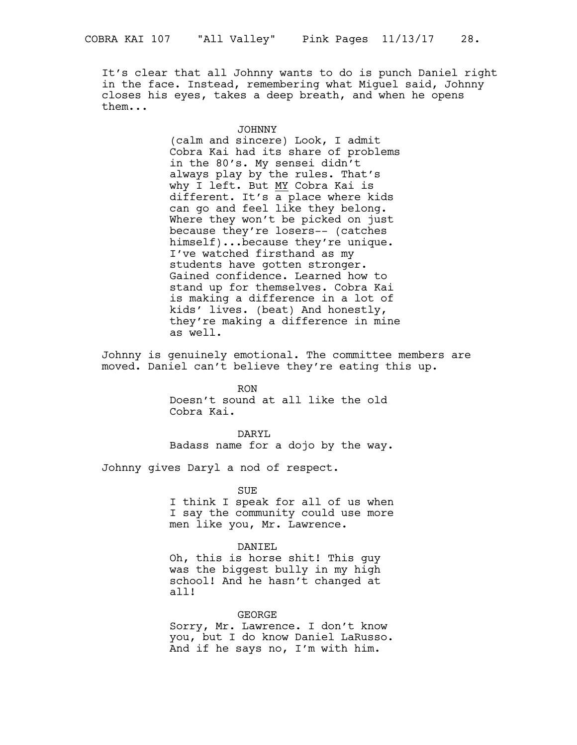It's clear that all Johnny wants to do is punch Daniel right in the face. Instead, remembering what Miguel said, Johnny closes his eyes, takes a deep breath, and when he opens them...

#### JOHNNY

(calm and sincere) Look, I admit Cobra Kai had its share of problems in the 80's. My sensei didn't always play by the rules. That's why I left. But MY Cobra Kai is different. It's  $\overline{a}$  place where kids can go and feel like they belong. Where they won't be picked on just because they're losers-- (catches himself)...because they're unique. I've watched firsthand as my students have gotten stronger. Gained confidence. Learned how to stand up for themselves. Cobra Kai is making a difference in a lot of kids' lives. (beat) And honestly, they're making a difference in mine as well.

Johnny is genuinely emotional. The committee members are moved. Daniel can't believe they're eating this up.

> RON Doesn't sound at all like the old Cobra Kai.

DARYL Badass name for a dojo by the way.

Johnny gives Daryl a nod of respect.

SUE

I think I speak for all of us when I say the community could use more men like you, Mr. Lawrence.

# DANIEL

Oh, this is horse shit! This guy was the biggest bully in my high school! And he hasn't changed at all!

# GEORGE

Sorry, Mr. Lawrence. I don't know you, but I do know Daniel LaRusso. And if he says no, I'm with him.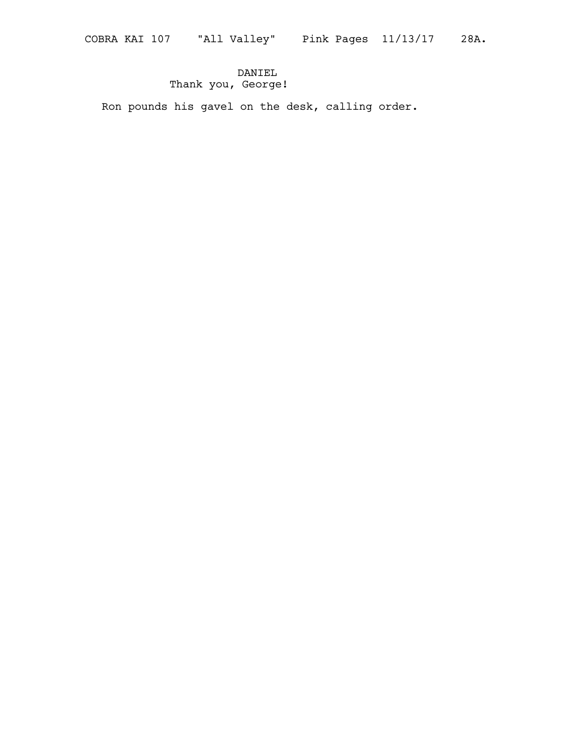# DANIEL Thank you, George!

Ron pounds his gavel on the desk, calling order.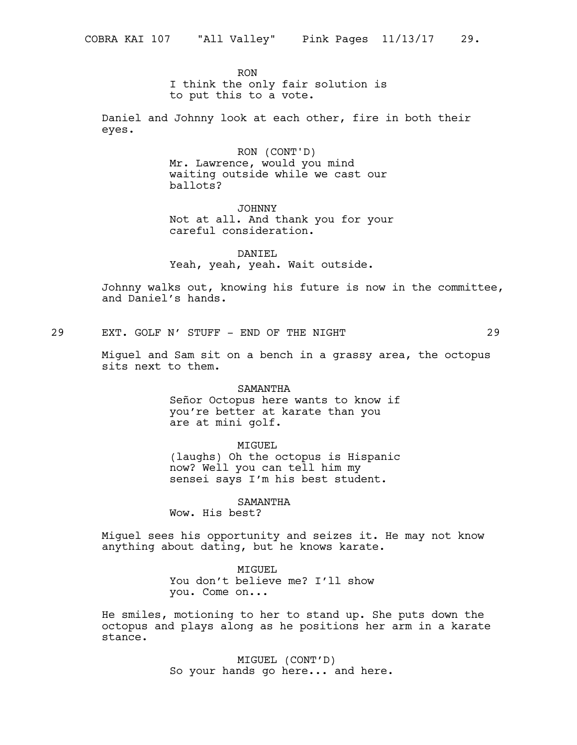RON I think the only fair solution is to put this to a vote.

Daniel and Johnny look at each other, fire in both their eyes.

> RON (CONT'D) Mr. Lawrence, would you mind waiting outside while we cast our ballots?

JOHNNY Not at all. And thank you for your careful consideration.

DANIEL Yeah, yeah, yeah. Wait outside.

Johnny walks out, knowing his future is now in the committee, and Daniel's hands.

29 EXT. GOLF N' STUFF - END OF THE NIGHT 29

Miguel and Sam sit on a bench in a grassy area, the octopus sits next to them.

SAMANTHA

Señor Octopus here wants to know if you're better at karate than you are at mini golf.

MIGUEL

(laughs) Oh the octopus is Hispanic now? Well you can tell him my sensei says I'm his best student.

SAMANTHA

Wow. His best?

Miguel sees his opportunity and seizes it. He may not know anything about dating, but he knows karate.

> MTGUEL. You don't believe me? I'll show you. Come on...

He smiles, motioning to her to stand up. She puts down the octopus and plays along as he positions her arm in a karate stance.

> MIGUEL (CONT'D) So your hands go here... and here.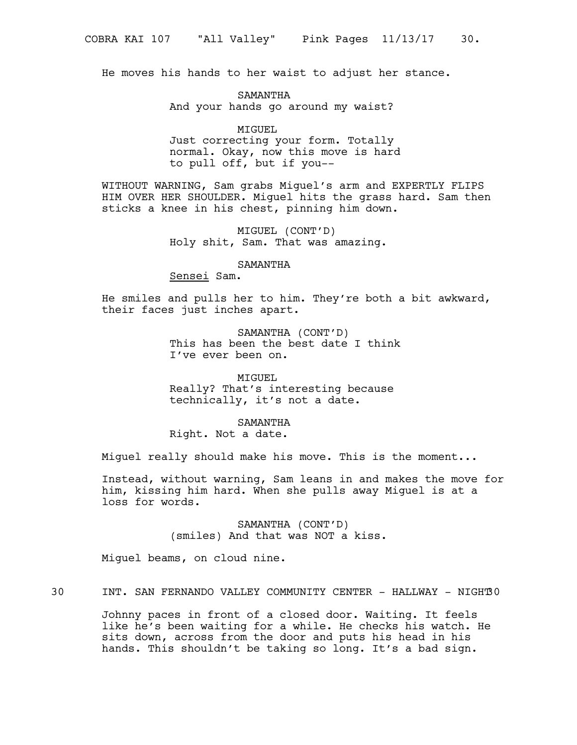He moves his hands to her waist to adjust her stance.

SAMANTHA And your hands go around my waist?

MIGUEL Just correcting your form. Totally normal. Okay, now this move is hard to pull off, but if you--

WITHOUT WARNING, Sam grabs Miguel's arm and EXPERTLY FLIPS HIM OVER HER SHOULDER. Miguel hits the grass hard. Sam then sticks a knee in his chest, pinning him down.

> MIGUEL (CONT'D) Holy shit, Sam. That was amazing.

# SAMANTHA

Sensei Sam.

He smiles and pulls her to him. They're both a bit awkward, their faces just inches apart.

> SAMANTHA (CONT'D) This has been the best date I think I've ever been on.

MIGUEL Really? That's interesting because technically, it's not a date.

# SAMANTHA

Right. Not a date.

Miguel really should make his move. This is the moment...

Instead, without warning, Sam leans in and makes the move for him, kissing him hard. When she pulls away Miguel is at a loss for words.

> SAMANTHA (CONT'D) (smiles) And that was NOT a kiss.

Miguel beams, on cloud nine.

30 INT. SAN FERNANDO VALLEY COMMUNITY CENTER - HALLWAY - NIGHT30

Johnny paces in front of a closed door. Waiting. It feels like he's been waiting for a while. He checks his watch. He sits down, across from the door and puts his head in his hands. This shouldn't be taking so long. It's a bad sign.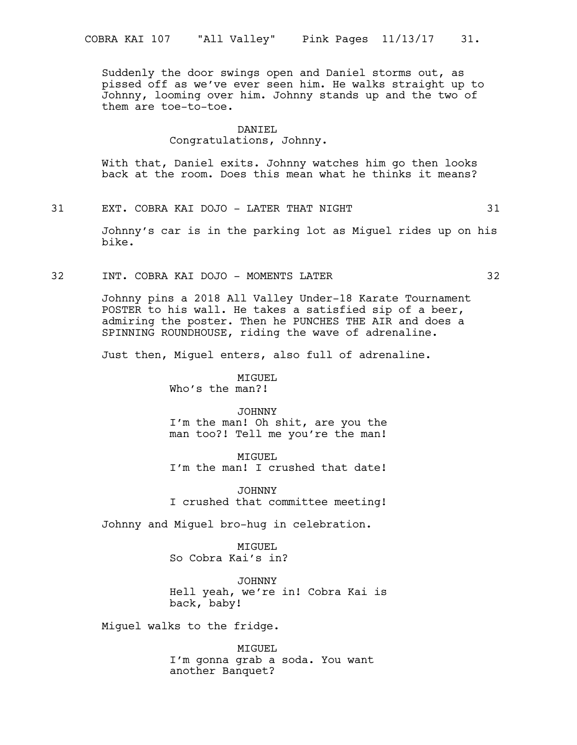Suddenly the door swings open and Daniel storms out, as pissed off as we've ever seen him. He walks straight up to Johnny, looming over him. Johnny stands up and the two of them are toe-to-toe.

#### DANIEL

#### Congratulations, Johnny.

With that, Daniel exits. Johnny watches him go then looks back at the room. Does this mean what he thinks it means?

31 EXT. COBRA KAI DOJO - LATER THAT NIGHT 31

Johnny's car is in the parking lot as Miguel rides up on his bike.

#### 32 INT. COBRA KAI DOJO - MOMENTS LATER 32

Johnny pins a 2018 All Valley Under-18 Karate Tournament POSTER to his wall. He takes a satisfied sip of a beer, admiring the poster. Then he PUNCHES THE AIR and does a SPINNING ROUNDHOUSE, riding the wave of adrenaline.

Just then, Miguel enters, also full of adrenaline.

MIGUEL Who's the man?!

# JOHNNY

I'm the man! Oh shit, are you the man too?! Tell me you're the man!

MIGUEL I'm the man! I crushed that date!

JOHNNY I crushed that committee meeting!

Johnny and Miguel bro-hug in celebration.

MTGUEL. So Cobra Kai's in?

JOHNNY Hell yeah, we're in! Cobra Kai is back, baby!

Miguel walks to the fridge.

MIGUEL I'm gonna grab a soda. You want another Banquet?